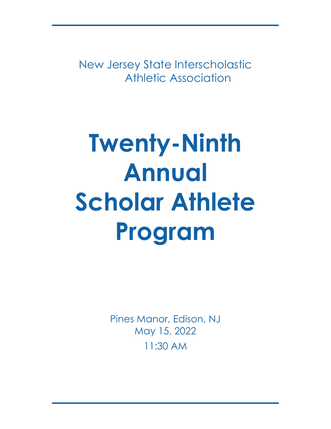New Jersey State Interscholastic Athletic Association

# **Twenty-Ninth Annual Scholar Athlete Program**

Pines Manor, Edison, NJ May 15, 2022 11:30 AM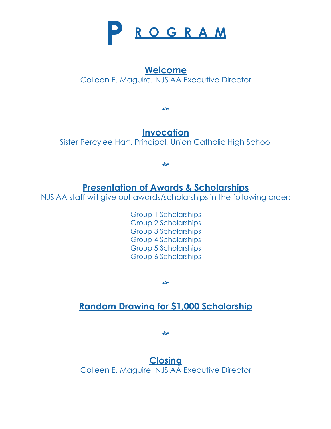

### **Welcome**

Colleen E. Maguire, NJSIAA Executive Director

જી

### **Invocation**

Sister Percylee Hart, Principal, Union Catholic High School

ले

### **Presentation of Awards & Scholarships**

NJSIAA staff will give out awards/scholarships in the following order:

Group 1 Scholarships Group 2 Scholarships Group 3 Scholarships Group 4 Scholarships Group 5 Scholarships Group 6 Scholarships

ले

### **Random Drawing for \$1,000 Scholarship**

ले

**Closing** Colleen E. Maguire, NJSIAA Executive Director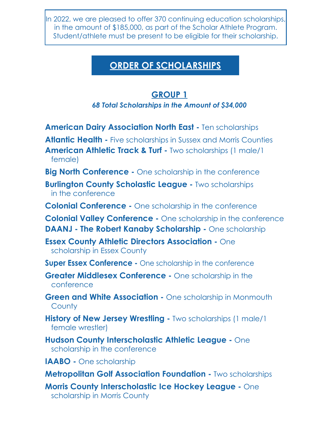In 2022, we are pleased to offer 370 continuing education scholarships, in the amount of \$185,000, as part of the Scholar Athlete Program. Student/athlete must be present to be eligible for their scholarship.

### **ORDER OF SCHOLARSHIPS**

### **GROUP 1**

### *68 Total Scholarships in the Amount of \$34,000*

- **American Dairy Association North East** Ten scholarships
- **Atlantic Health** Five scholarships in Sussex and Morris Counties
- **American Athletic Track & Turf** Two scholarships (1 male/1 female)
- **Big North Conference** One scholarship in the conference
- **Burlington County Scholastic League Two scholarships** in the conference
- **Colonial Conference** One scholarship in the conference
- **Colonial Valley Conference** One scholarship in the conference **DAANJ - The Robert Kanaby Scholarship -** One scholarship
- **Essex County Athletic Directors Association** One scholarship in Essex County
- **Super Essex Conference** One scholarship in the conference
- **Greater Middlesex Conference One scholarship in the** conference
- **Green and White Association One scholarship in Monmouth County**
- **History of New Jersey Wrestling Two scholarships (1 male/1)** female wrestler)
- **Hudson County Interscholastic Athletic League** One scholarship in the conference
- **IAABO** One scholarship
- **Metropolitan Golf Association Foundation** Two scholarships
- **Morris County Interscholastic Ice Hockey League** One scholarship in Morris County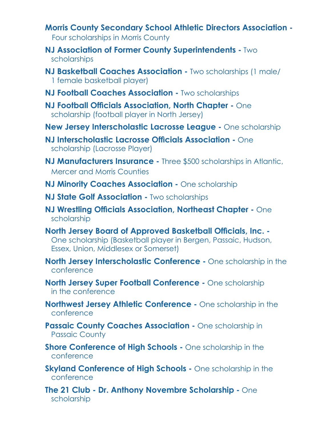- **Morris County Secondary School Athletic Directors Association** Four scholarships in Morris County
- **NJ Association of Former County Superintendents -** Two scholarships
- **NJ Basketball Coaches Association** Two scholarships (1 male/ 1 female basketball player)
- **NJ Football Coaches Association Two scholarships**
- **NJ Football Officials Association, North Chapter One** scholarship (football player in North Jersey)
- **New Jersey Interscholastic Lacrosse League** One scholarship
- **NJ Interscholastic Lacrosse Officials Association -** One scholarship (Lacrosse Player)
- **NJ Manufacturers Insurance** Three \$500 scholarships in Atlantic, Mercer and Morris Counties
- **NJ Minority Coaches Association One scholarship**
- **NJ State Golf Association Two scholarships**
- **NJ Wrestling Officials Association, Northeast Chapter One** scholarship
- **North Jersey Board of Approved Basketball Officials, Inc. -** One scholarship (Basketball player in Bergen, Passaic, Hudson, Essex, Union, Middlesex or Somerset)
- **North Jersey Interscholastic Conference -** One scholarship in the conference
- **North Jersey Super Football Conference** One scholarship in the conference
- **Northwest Jersey Athletic Conference** One scholarship in the conference
- **Passaic County Coaches Association One scholarship in** Passaic County
- **Shore Conference of High Schools One scholarship in the** conference
- **Skyland Conference of High Schools One scholarship in the** conference
- **The 21 Club Dr. Anthony Novembre Scholarship -** One scholarship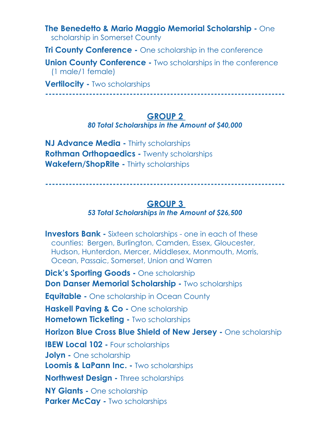**The Benedetto & Mario Maggio Memorial Scholarship -** One scholarship in Somerset County

**Tri County Conference -** One scholarship in the conference

**Union County Conference - Two scholarships in the conference** (1 male/1 female)

**Vertilocity -** Two scholarships

**-----------------------------------------------------------------------**

### **GROUP 2**

*80 Total Scholarships in the Amount of \$40,000*

**NJ Advance Media -** Thirty scholarships **Rothman Orthopaedics -** Twenty scholarships **Wakefern/ShopRite -** Thirty scholarships

**-----------------------------------------------------------------------**

### **GROUP 3**

### *53 Total Scholarships in the Amount of \$26,500*

**Investors Bank -** Sixteen scholarships - one in each of these counties: Bergen, Burlington, Camden, Essex, Gloucester, Hudson, Hunterdon, Mercer, Middlesex, Monmouth, Morris, Ocean, Passaic, Somerset, Union and Warren **Dick's Sporting Goods - One scholarship Don Danser Memorial Scholarship - Two scholarships Equitable -** One scholarship in Ocean County **Haskell Paving & Co -** One scholarship **Hometown Ticketing -** Two scholarships **Horizon Blue Cross Blue Shield of New Jersey -** One scholarship **IBEW Local 102 -** Four scholarships **Jolyn - One scholarship Loomis & LaPann Inc. - Two scholarships Northwest Design -** Three scholarships **NY Giants -** One scholarship **Parker McCay - Two scholarships**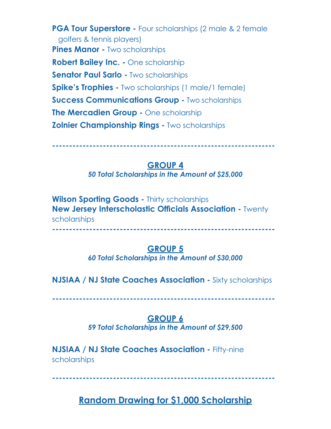**PGA Tour Superstore -** Four scholarships (2 male & 2 female golfers & tennis players) **Pines Manor - Two scholarships Robert Bailey Inc. -** One scholarship **Senator Paul Sarlo -** Two scholarships **Spike's Trophies -** Two scholarships (1 male/1 female) **Success Communications Group - Two scholarships The Mercadien Group -** One scholarship **Zolnier Championship Rings -** Two scholarships

**------------------------------------------------------------------**

### **GROUP 4**

*50 Total Scholarships in the Amount of \$25,000*

**Wilson Sporting Goods -** Thirty scholarships **New Jersey Interscholastic Officials Association - Twenty** scholarships

### **------------------------------------------------------------------**

### **GROUP 5**

*60 Total Scholarships in the Amount of \$30,000*

**NJSIAA / NJ State Coaches Association -** Sixty scholarships

**------------------------------------------------------------------**

### **GROUP 6**

*59 Total Scholarships in the Amount of \$29,500*

**NJSIAA / NJ State Coaches Association - Fifty-nine** scholarships

**------------------------------------------------------------------**

### **Random Drawing for \$1,000 Scholarship**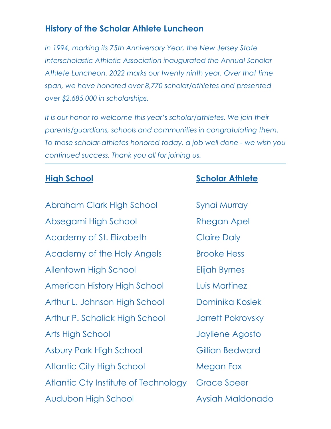### **History of the Scholar Athlete Luncheon**

*In 1994, marking its 75th Anniversary Year, the New Jersey State Interscholastic Athletic Association inaugurated the Annual Scholar Athlete Luncheon. 2022 marks our twenty ninth year. Over that time span, we have honored over 8,770 scholar/athletes and presented over \$2,685,000 in scholarships.*

*It is our honor to welcome this year's scholar/athletes. We join their parents/guardians, schools and communities in congratulating them. To those scholar-athletes honored today, a job well done - we wish you continued success. Thank you all for joining us.*

Abraham Clark High School Synai Murray Absegami High School Rhegan Apel Academy of St. Elizabeth Claire Daly Academy of the Holy Angels Brooke Hess Allentown High School Elijah Byrnes American History High School Luis Martinez Arthur L. Johnson High School Dominika Kosiek Arthur P. Schalick High School Jarrett Pokrovsky Arts High School Jayliene Agosto Asbury Park High School **Gillian Bedward** Atlantic City High School Megan Fox Atlantic Cty Institute of Technology Grace Speer Audubon High School Aysiah Maldonado

### **High School Scholar Athlete**

- 
- 
- 
- 
- 
- -
- 
- 
- 
- 
- 
-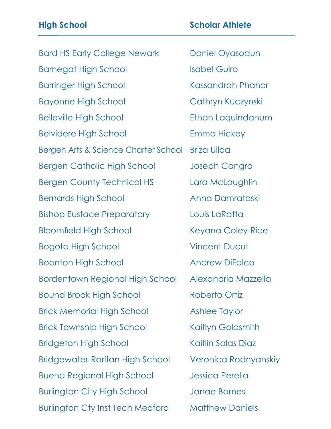Bard HS Early College Newark Daniel Oyasodun Barnegat High School Isabel Guiro Barringer High School Kassandrah Phanor Bayonne High School Cathryn Kuczynski Belleville High School Ethan Laquindanum Belvidere High School Emma Hickey Bergen Arts & Science Charter School Briza Ulloa Bergen Catholic High School Joseph Cangro Bergen County Technical HS Lara McLaughlin Bernards High School Anna Damratoski Bishop Eustace Preparatory Louis LaRatta Bloomfield High School Keyana Coley-Rice Bogota High School Vincent Ducut Boonton High School **Andrew DiFalco** Bordentown Regional High School Alexandria Mazzella Bound Brook High School Roberto Ortiz Brick Memorial High School Ashlee Taylor Brick Township High School Kaitlyn Goldsmith Bridgeton High School Kaitlin Salas Diaz Bridgewater-Raritan High School Veronica Rodnyanskiy Buena Regional High School Jessica Perella Burlington City High School Janae Barnes Burlington Cty Inst Tech Medford Matthew Daniels

### **High School Scholar Athlete**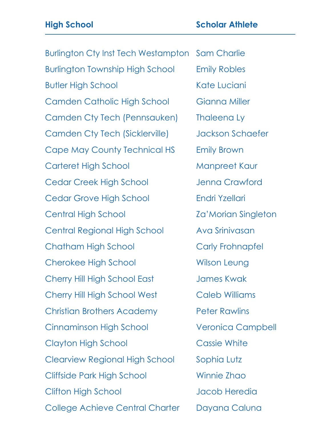Burlington Cty Inst Tech Westampton Sam Charlie Burlington Township High School Emily Robles Butler High School Kate Luciani Camden Catholic High School Gianna Miller Camden Cty Tech (Pennsauken) Thaleena Ly Camden Cty Tech (Sicklerville) Jackson Schaefer Cape May County Technical HS Emily Brown Carteret High School Manpreet Kaur Cedar Creek High School Jenna Crawford Cedar Grove High School Endri Yzellari Central High School Za'Morian Singleton Central Regional High School Ava Srinivasan Chatham High School Carly Frohnapfel Cherokee High School Wilson Leung Cherry Hill High School East James Kwak Cherry Hill High School West Caleb Williams Christian Brothers Academy Peter Rawlins Cinnaminson High School Veronica Campbell Clayton High School Cassie White Clearview Regional High School Sophia Lutz Cliffside Park High School Winnie Zhao Clifton High School and Jacob Heredia College Achieve Central Charter Dayana Caluna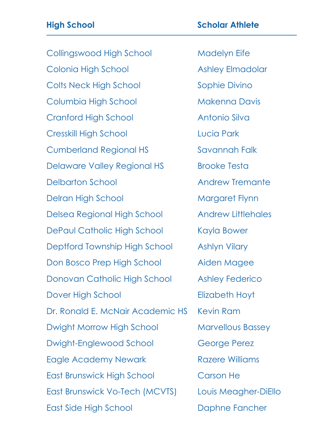Collingswood High School Madelyn Eife Colonia High School Ashley Elmadolar Colts Neck High School Sophie Divino Columbia High School Makenna Davis Cranford High School **Antonio Silva** Cresskill High School Lucia Park Cumberland Regional HS Savannah Falk Delaware Valley Regional HS Brooke Testa Delbarton School **Andrew Tremante** Delran High School Margaret Flynn Delsea Regional High School Andrew Littlehales DePaul Catholic High School Kayla Bower Deptford Township High School Ashlyn Vilary Don Bosco Prep High School Aiden Magee Donovan Catholic High School Ashley Federico Dover High School **Elizabeth Hoyt** Dr. Ronald E. McNair Academic HS Kevin Ram Dwight Morrow High School Marvellous Bassey Dwight-Englewood School George Perez Eagle Academy Newark **Razere Williams** East Brunswick High School Carson He East Brunswick Vo-Tech (MCVTS) Louis Meagher-DiEllo

East Side High School Daphne Fancher

### **High School Scholar Athlete**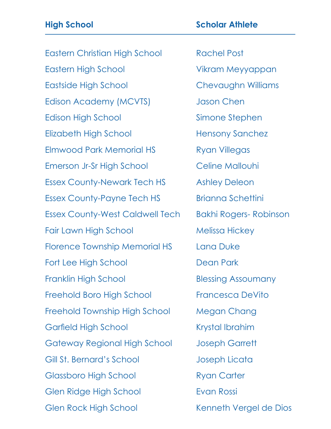Eastern Christian High School Rachel Post Eastern High School Vikram Meyyappan Eastside High School Chevaughn Williams Edison Academy (MCVTS) Jason Chen Edison High School Simone Stephen Elizabeth High School Hensony Sanchez Elmwood Park Memorial HS Ryan Villegas Emerson Jr-Sr High School Celine Mallouhi Essex County-Newark Tech HS Ashley Deleon Essex County-Payne Tech HS Brianna Schettini Essex County-West Caldwell Tech Bakhi Rogers- Robinson Fair Lawn High School Melissa Hickey Florence Township Memorial HS Lana Duke Fort Lee High School Dean Park Franklin High School Blessing Assoumany Freehold Boro High School Francesca DeVito Freehold Township High School Megan Chang Garfield High School Krystal Ibrahim Gateway Regional High School Joseph Garrett Gill St. Bernard's School School Joseph Licata Glassboro High School Ryan Carter Glen Ridge High School Evan Rossi Glen Rock High School Kenneth Vergel de Dios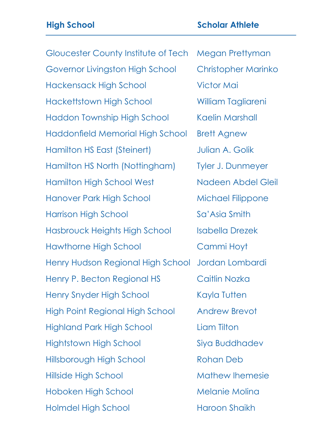Gloucester County Institute of Tech Megan Prettyman Governor Livingston High School Christopher Marinko Hackensack High School Victor Mai Hackettstown High School William Tagliareni Haddon Township High School Kaelin Marshall Haddonfield Memorial High School Brett Agnew Hamilton HS East (Steinert) Julian A. Golik Hamilton HS North (Nottingham) Tyler J. Dunmeyer Hamilton High School West Nadeen Abdel Gleil Hanover Park High School Michael Filippone Harrison High School Sa'Asia Smith Hasbrouck Heights High School Isabella Drezek Hawthorne High School Cammi Hoyt Henry Hudson Regional High School Jordan Lombardi Henry P. Becton Regional HS Caitlin Nozka Henry Snyder High School Kayla Tutten High Point Regional High School Andrew Brevot Highland Park High School Liam Tilton Hightstown High School Siya Buddhadev Hillsborough High School Rohan Deb Hillside High School Mathew Ihemesie Hoboken High School Melanie Molina Holmdel High School Haroon Shaikh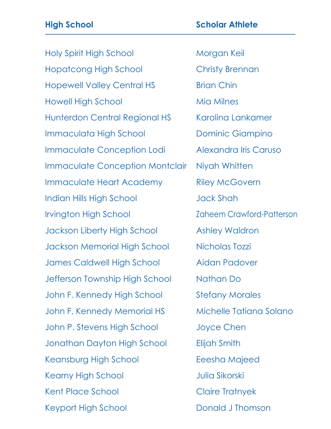Holy Spirit High School Morgan Keil Hopatcong High School Christy Brennan Hopewell Valley Central HS Brian Chin Howell High School Mia Milnes Hunterdon Central Regional HS Karolina Lankamer Immaculata High School Dominic Giampino Immaculate Conception Lodi Alexandra Iris Caruso Immaculate Conception Montclair Niyah Whitten Immaculate Heart Academy Riley McGovern Indian Hills High School Jack Shah Irvington High School Zaheem Crawford-Patterson Jackson Liberty High School Ashley Waldron Jackson Memorial High School Nicholas Tozzi James Caldwell High School Aidan Padover Jefferson Township High School Nathan Do John F. Kennedy High School Stefany Morales John F. Kennedy Memorial HS Michelle Tatiana Solano John P. Stevens High School Joyce Chen Jonathan Dayton High School Elijah Smith Keansburg High School Eeesha Majeed Kearny High School Manuel Mulia Sikorski Kent Place School Claire Tratnyek Keyport High School **Donald J Thomson**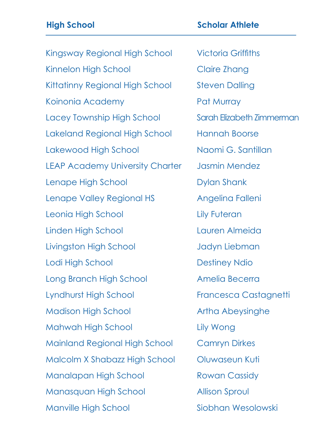Kingsway Regional High School Victoria Griffiths Kinnelon High School Claire Zhang Kittatinny Regional High School Steven Dalling Koinonia Academy **Pat Murray** Lacey Township High School Sarah Elizabeth Zimmerman Lakeland Regional High School Hannah Boorse Lakewood High School Naomi G. Santillan LEAP Academy University Charter Jasmin Mendez Lenape High School **Dylan Shank** Lenape Valley Regional HS Angelina Falleni Leonia High School Lily Futeran Linden High School Lauren Almeida Livingston High School Jadyn Liebman Lodi High School **Destiney Ndio** Long Branch High School Amelia Becerra Lyndhurst High School Francesca Castagnetti Madison High School **Artha Abeysinghe** Mahwah High School Lily Wong Mainland Regional High School Camryn Dirkes Malcolm X Shabazz High School Oluwaseun Kuti Manalapan High School Rowan Cassidy Manasquan High School Allison Sproul Manville High School Siobhan Wesolowski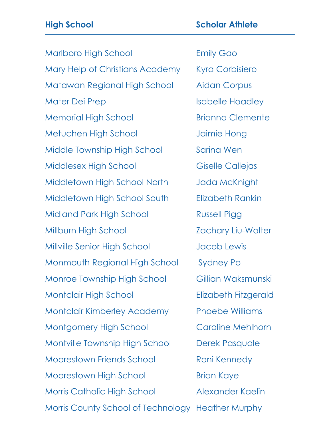## Marlboro High School **Emily Gao** Mary Help of Christians Academy Kyra Corbisiero **High School Scholar Athlete**

Matawan Regional High School Aidan Corpus Mater Dei Prep Isabelle Hoadley Memorial High School Brianna Clemente Metuchen High School Jaimie Hong Middle Township High School Sarina Wen Middlesex High School Giselle Callejas Middletown High School North Jada McKnight Middletown High School South Elizabeth Rankin Midland Park High School Russell Pigg Millburn High School Zachary Liu-Walter Millville Senior High School Jacob Lewis Monmouth Regional High School Sydney Po Monroe Township High School Gillian Waksmunski Montclair High School Elizabeth Fitzgerald Montclair Kimberley Academy Phoebe Williams Montgomery High School Caroline Mehlhorn Montville Township High School Derek Pasquale Moorestown Friends School Roni Kennedy Moorestown High School Brian Kaye Morris Catholic High School Alexander Kaelin Morris County School of Technology Heather Murphy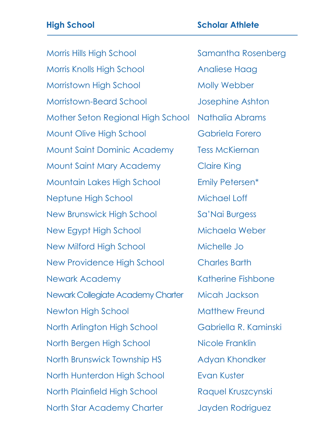Morris Hills High School Samantha Rosenberg Morris Knolls High School Analiese Haag Morristown High School Molly Webber Morristown-Beard School Josephine Ashton Mother Seton Regional High School Nathalia Abrams Mount Olive High School Gabriela Forero Mount Saint Dominic Academy Tess McKiernan Mount Saint Mary Academy Claire King Mountain Lakes High School Emily Petersen\* Neptune High School Michael Loff New Brunswick High School Sa'Nai Burgess New Egypt High School Michaela Weber New Milford High School Michelle Jo New Providence High School Charles Barth Newark Academy **Katherine Fishbone** Newark Collegiate Academy Charter Micah Jackson Newton High School Matthew Freund North Arlington High School Gabriella R. Kaminski North Bergen High School Nicole Franklin North Brunswick Township HS Adyan Khondker North Hunterdon High School Evan Kuster North Plainfield High School Raquel Kruszcynski North Star Academy Charter Jayden Rodriguez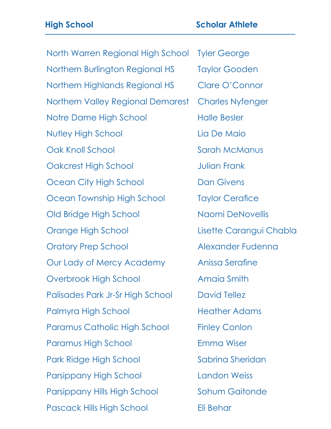North Warren Regional High School Tyler George Northern Burlington Regional HS Taylor Gooden Northern Highlands Regional HS Clare O'Connor Northern Valley Regional Demarest Charles Nyfenger Notre Dame High School Halle Besler Nutley High School Lia De Maio Oak Knoll School Sarah McManus **Oakcrest High School School School School School School School School School School School School School** Ocean City High School Dan Givens Ocean Township High School Taylor Cerafice Old Bridge High School Naomi DeNovellis Orange High School Lisette Carangui Chabla Oratory Prep School Alexander Fudenna Our Lady of Mercy Academy Anissa Serafine Overbrook High School **Amaia Smith** Palisades Park Jr-Sr High School David Tellez Palmyra High School Heather Adams Paramus Catholic High School Finley Conlon Paramus High School **Emma Wiser** Park Ridge High School Sabrina Sheridan Parsippany High School Landon Weiss Parsippany Hills High School Sohum Gaitonde Pascack Hills High School Eli Behar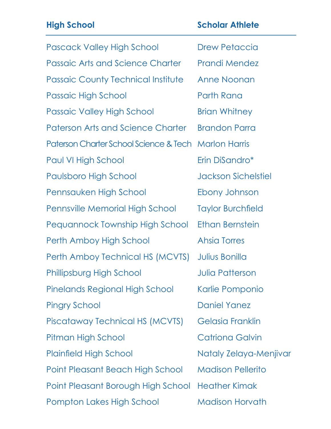| <b>High School</b>                        | <b>Scholar Athlete</b>     |
|-------------------------------------------|----------------------------|
| <b>Pascack Valley High School</b>         | <b>Drew Petaccia</b>       |
| <b>Passaic Arts and Science Charter</b>   | <b>Prandi Mendez</b>       |
| <b>Passaic County Technical Institute</b> | <b>Anne Noonan</b>         |
| Passaic High School                       | Parth Rana                 |
| <b>Passaic Valley High School</b>         | <b>Brian Whitney</b>       |
| <b>Paterson Arts and Science Charter</b>  | <b>Brandon Parra</b>       |
| Paterson Charter School Science & Tech    | <b>Marlon Harris</b>       |
| <b>Paul VI High School</b>                | Erin DiSandro*             |
| <b>Paulsboro High School</b>              | <b>Jackson Sichelstiel</b> |
| Pennsauken High School                    | Ebony Johnson              |
| Pennsville Memorial High School           | <b>Taylor Burchfield</b>   |
| Pequannock Township High School           | <b>Ethan Bernstein</b>     |
| Perth Amboy High School                   | <b>Ahsia Torres</b>        |
| Perth Amboy Technical HS (MCVTS)          | Julius Bonilla             |
| Phillipsburg High School                  | <b>Julia Patterson</b>     |
| Pinelands Regional High School            | Karlie Pomponio            |
| <b>Pingry School</b>                      | <b>Daniel Yanez</b>        |
| Piscataway Technical HS (MCVTS)           | Gelasia Franklin           |
| Pitman High School                        | <b>Catriona Galvin</b>     |
| <b>Plainfield High School</b>             | Nataly Zelaya-Menjivar     |
| <b>Point Pleasant Beach High School</b>   | <b>Madison Pellerito</b>   |
| Point Pleasant Borough High School        | <b>Heather Kimak</b>       |
| Pompton Lakes High School                 | <b>Madison Horvath</b>     |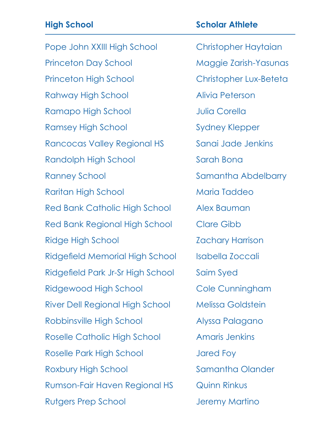| <b>High School</b>                     | <b>Scholar Athlete</b>   |
|----------------------------------------|--------------------------|
| Pope John XXIII High School            | Christopher Haytaian     |
| <b>Princeton Day School</b>            | Maggie Zarish-Yasunas    |
| <b>Princeton High School</b>           | Christopher Lux-Beteta   |
| Rahway High School                     | Alivia Peterson          |
| Ramapo High School                     | <b>Julia Corella</b>     |
| <b>Ramsey High School</b>              | <b>Sydney Klepper</b>    |
| Rancocas Valley Regional HS            | Sanai Jade Jenkins       |
| Randolph High School                   | Sarah Bona               |
| <b>Ranney School</b>                   | Samantha Abdelbarry      |
| Raritan High School                    | <b>Maria Taddeo</b>      |
| Red Bank Catholic High School          | Alex Bauman              |
| Red Bank Regional High School          | <b>Clare Gibb</b>        |
| Ridge High School                      | <b>Zachary Harrison</b>  |
| <b>Ridgefield Memorial High School</b> | Isabella Zoccali         |
| Ridgefield Park Jr-Sr High School      | Saim Syed                |
| Ridgewood High School                  | Cole Cunningham          |
| River Dell Regional High School        | <b>Melissa Goldstein</b> |
| Robbinsville High School               | Alyssa Palagano          |
| Roselle Catholic High School           | <b>Amaris Jenkins</b>    |
| Roselle Park High School               | <b>Jared Foy</b>         |
| Roxbury High School                    | Samantha Olander         |
| Rumson-Fair Haven Regional HS          | <b>Quinn Rinkus</b>      |
| <b>Rutgers Prep School</b>             | Jeremy Martino           |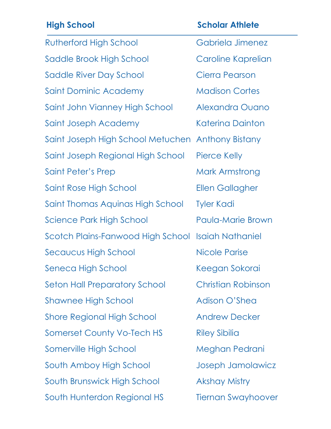| <b>High School</b>                                | <b>Scholar Athlete</b>    |
|---------------------------------------------------|---------------------------|
| <b>Rutherford High School</b>                     | Gabriela Jimenez          |
| Saddle Brook High School                          | Caroline Kaprelian        |
| Saddle River Day School                           | <b>Cierra Pearson</b>     |
| Saint Dominic Academy                             | <b>Madison Cortes</b>     |
| Saint John Vianney High School                    | Alexandra Ouano           |
| Saint Joseph Academy                              | <b>Katerina Dainton</b>   |
| Saint Joseph High School Metuchen Anthony Bistany |                           |
| Saint Joseph Regional High School                 | <b>Pierce Kelly</b>       |
| Saint Peter's Prep                                | Mark Armstrong            |
| Saint Rose High School                            | <b>Ellen Gallagher</b>    |
| Saint Thomas Aquinas High School                  | <b>Tyler Kadi</b>         |
| Science Park High School                          | <b>Paula-Marie Brown</b>  |
| Scotch Plains-Fanwood High School                 | <b>Isaiah Nathaniel</b>   |
| Secaucus High School                              | Nicole Parise             |
| Seneca High School                                | Keegan Sokorai            |
| <b>Seton Hall Preparatory School</b>              | <b>Christian Robinson</b> |
| <b>Shawnee High School</b>                        | Adison O'Shea             |
| <b>Shore Regional High School</b>                 | <b>Andrew Decker</b>      |
| <b>Somerset County Vo-Tech HS</b>                 | <b>Riley Sibilia</b>      |
| Somerville High School                            | Meghan Pedrani            |
| South Amboy High School                           | Joseph Jamolawicz         |
| South Brunswick High School                       | <b>Akshay Mistry</b>      |
| South Hunterdon Regional HS                       | <b>Tiernan Swayhoover</b> |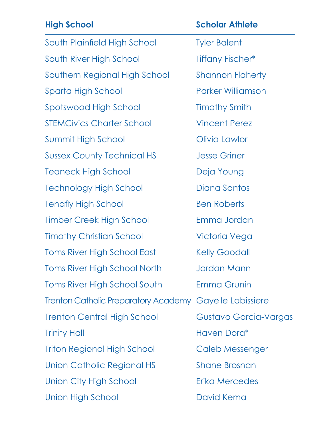| <b>High School</b>                                      | <b>Scholar Athlete</b>   |
|---------------------------------------------------------|--------------------------|
| South Plainfield High School                            | <b>Tyler Balent</b>      |
| South River High School                                 | <b>Tiffany Fischer*</b>  |
| Southern Regional High School                           | <b>Shannon Flaherty</b>  |
| Sparta High School                                      | <b>Parker Williamson</b> |
| Spotswood High School                                   | <b>Timothy Smith</b>     |
| <b>STEMCivics Charter School</b>                        | <b>Vincent Perez</b>     |
| Summit High School                                      | Olivia Lawlor            |
| <b>Sussex County Technical HS</b>                       | <b>Jesse Griner</b>      |
| <b>Teaneck High School</b>                              | Deja Young               |
| <b>Technology High School</b>                           | Diana Santos             |
| <b>Tenafly High School</b>                              | <b>Ben Roberts</b>       |
| <b>Timber Creek High School</b>                         | Emma Jordan              |
| <b>Timothy Christian School</b>                         | Victoria Vega            |
| <b>Toms River High School East</b>                      | <b>Kelly Goodall</b>     |
| <b>Toms River High School North</b>                     | <b>Jordan Mann</b>       |
| <b>Toms River High School South</b>                     | <b>Emma Grunin</b>       |
| Trenton Catholic Preparatory Academy Gayelle Labissiere |                          |
| <b>Trenton Central High School</b>                      | Gustavo Garcia-Vargas    |
| <b>Trinity Hall</b>                                     | Haven Dora*              |
| <b>Triton Regional High School</b>                      | Caleb Messenger          |
| Union Catholic Regional HS                              | <b>Shane Brosnan</b>     |
| Union City High School                                  | Erika Mercedes           |
| Union High School                                       | David Kema               |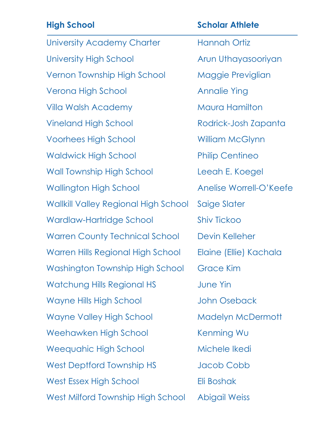| <b>High School</b>                          | <b>Scholar Athlete</b>   |
|---------------------------------------------|--------------------------|
| University Academy Charter                  | Hannah Ortiz             |
| <b>University High School</b>               | Arun Uthayasooriyan      |
| Vernon Township High School                 | Maggie Previglian        |
| Verona High School                          | <b>Annalie Ying</b>      |
| Villa Walsh Academy                         | Maura Hamilton           |
| <b>Vineland High School</b>                 | Rodrick-Josh Zapanta     |
| <b>Voorhees High School</b>                 | <b>William McGlynn</b>   |
| <b>Waldwick High School</b>                 | <b>Philip Centineo</b>   |
| <b>Wall Township High School</b>            | Leeah E. Koegel          |
| Wallington High School                      | Anelise Worrell-O'Keefe  |
| <b>Wallkill Valley Regional High School</b> | Saige Slater             |
| Wardlaw-Hartridge School                    | <b>Shiv Tickoo</b>       |
| <b>Warren County Technical School</b>       | Devin Kelleher           |
| Warren Hills Regional High School           | Elaine (Ellie) Kachala   |
| Washington Township High School             | <b>Grace Kim</b>         |
| <b>Watchung Hills Regional HS</b>           | <b>June Yin</b>          |
| Wayne Hills High School                     | <b>John Oseback</b>      |
| <b>Wayne Valley High School</b>             | <b>Madelyn McDermott</b> |
| Weehawken High School                       | Kenming Wu               |
| <b>Weequahic High School</b>                | Michele Ikedi            |
| West Deptford Township HS                   | Jacob Cobb               |
| West Essex High School                      | Eli Boshak               |
| West Milford Township High School           | <b>Abigail Weiss</b>     |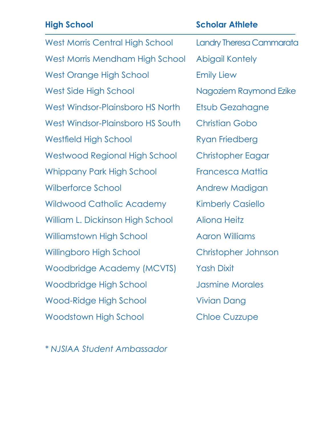| <b>High School</b>                     | <b>Scholar Athlete</b>   |
|----------------------------------------|--------------------------|
| <b>West Morris Central High School</b> | Landry Theresa Cammarata |
| West Morris Mendham High School        | Abigail Kontely          |
| West Orange High School                | <b>Emily Liew</b>        |
| <b>West Side High School</b>           | Nagoziem Raymond Ezike   |
| West Windsor-Plainsboro HS North       | Etsub Gezahagne          |
| West Windsor-Plainsboro HS South       | <b>Christian Gobo</b>    |
| <b>Westfield High School</b>           | Ryan Friedberg           |
| Westwood Regional High School          | Christopher Eagar        |
| <b>Whippany Park High School</b>       | Francesca Mattia         |
| Wilberforce School                     | Andrew Madigan           |
| <b>Wildwood Catholic Academy</b>       | <b>Kimberly Casiello</b> |
| William L. Dickinson High School       | <b>Aliona Heitz</b>      |
| Williamstown High School               | <b>Aaron Williams</b>    |
| <b>Willingboro High School</b>         | Christopher Johnson      |
| Woodbridge Academy (MCVTS)             | <b>Yash Dixit</b>        |
| Woodbridge High School                 | <b>Jasmine Morales</b>   |
| Wood-Ridge High School                 | Vivian Dang              |
| Woodstown High School                  | <b>Chloe Cuzzupe</b>     |

*\* NJSIAA Student Ambassador*